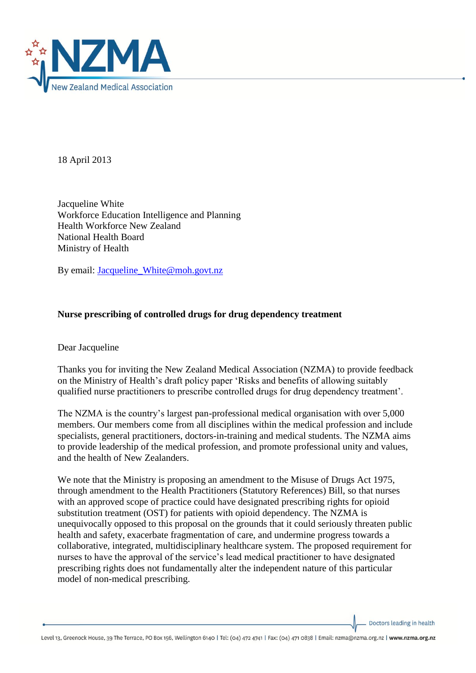

18 April 2013

Jacqueline White Workforce Education Intelligence and Planning Health Workforce New Zealand National Health Board Ministry of Health

By email: [Jacqueline\\_White@moh.govt.nz](mailto:Jacqueline_White@moh.govt.nz)

## **Nurse prescribing of controlled drugs for drug dependency treatment**

Dear Jacqueline

Thanks you for inviting the New Zealand Medical Association (NZMA) to provide feedback on the Ministry of Health's draft policy paper 'Risks and benefits of allowing suitably qualified nurse practitioners to prescribe controlled drugs for drug dependency treatment'.

The NZMA is the country's largest pan-professional medical organisation with over 5,000 members. Our members come from all disciplines within the medical profession and include specialists, general practitioners, doctors-in-training and medical students. The NZMA aims to provide leadership of the medical profession, and promote professional unity and values, and the health of New Zealanders.

We note that the Ministry is proposing an amendment to the Misuse of Drugs Act 1975, through amendment to the Health Practitioners (Statutory References) Bill, so that nurses with an approved scope of practice could have designated prescribing rights for opioid substitution treatment (OST) for patients with opioid dependency. The NZMA is unequivocally opposed to this proposal on the grounds that it could seriously threaten public health and safety, exacerbate fragmentation of care, and undermine progress towards a collaborative, integrated, multidisciplinary healthcare system. The proposed requirement for nurses to have the approval of the service's lead medical practitioner to have designated prescribing rights does not fundamentally alter the independent nature of this particular model of non-medical prescribing.

Doctors leading in health